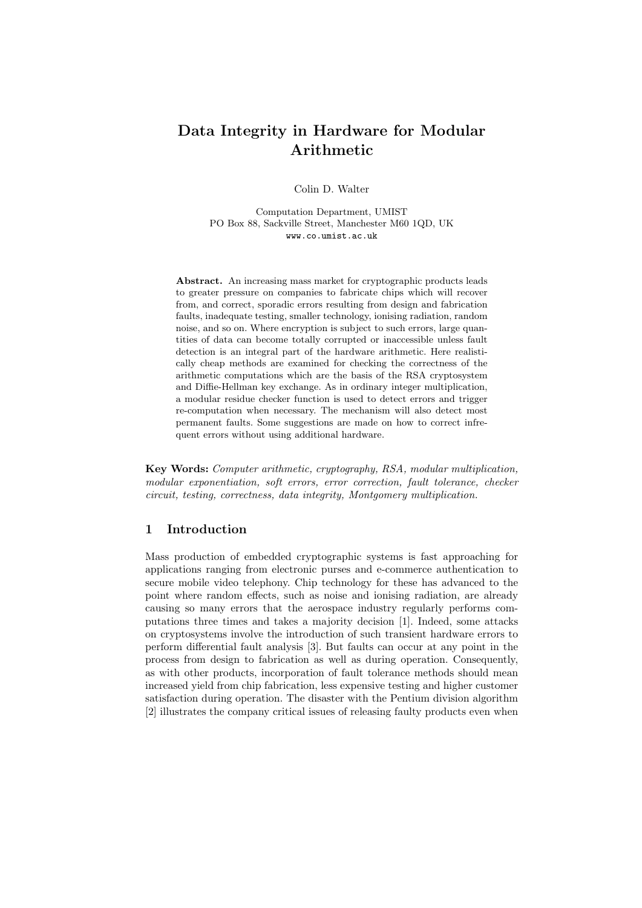# Data Integrity in Hardware for Modular Arithmetic

Colin D. Walter

Computation Department, UMIST PO Box 88, Sackville Street, Manchester M60 1QD, UK www.co.umist.ac.uk

Abstract. An increasing mass market for cryptographic products leads to greater pressure on companies to fabricate chips which will recover from, and correct, sporadic errors resulting from design and fabrication faults, inadequate testing, smaller technology, ionising radiation, random noise, and so on. Where encryption is subject to such errors, large quantities of data can become totally corrupted or inaccessible unless fault detection is an integral part of the hardware arithmetic. Here realistically cheap methods are examined for checking the correctness of the arithmetic computations which are the basis of the RSA cryptosystem and Diffie-Hellman key exchange. As in ordinary integer multiplication, a modular residue checker function is used to detect errors and trigger re-computation when necessary. The mechanism will also detect most permanent faults. Some suggestions are made on how to correct infrequent errors without using additional hardware.

Key Words: Computer arithmetic, cryptography, RSA, modular multiplication, modular exponentiation, soft errors, error correction, fault tolerance, checker circuit, testing, correctness, data integrity, Montgomery multiplication.

## 1 Introduction

Mass production of embedded cryptographic systems is fast approaching for applications ranging from electronic purses and e-commerce authentication to secure mobile video telephony. Chip technology for these has advanced to the point where random effects, such as noise and ionising radiation, are already causing so many errors that the aerospace industry regularly performs computations three times and takes a majority decision [1]. Indeed, some attacks on cryptosystems involve the introduction of such transient hardware errors to perform differential fault analysis [3]. But faults can occur at any point in the process from design to fabrication as well as during operation. Consequently, as with other products, incorporation of fault tolerance methods should mean increased yield from chip fabrication, less expensive testing and higher customer satisfaction during operation. The disaster with the Pentium division algorithm [2] illustrates the company critical issues of releasing faulty products even when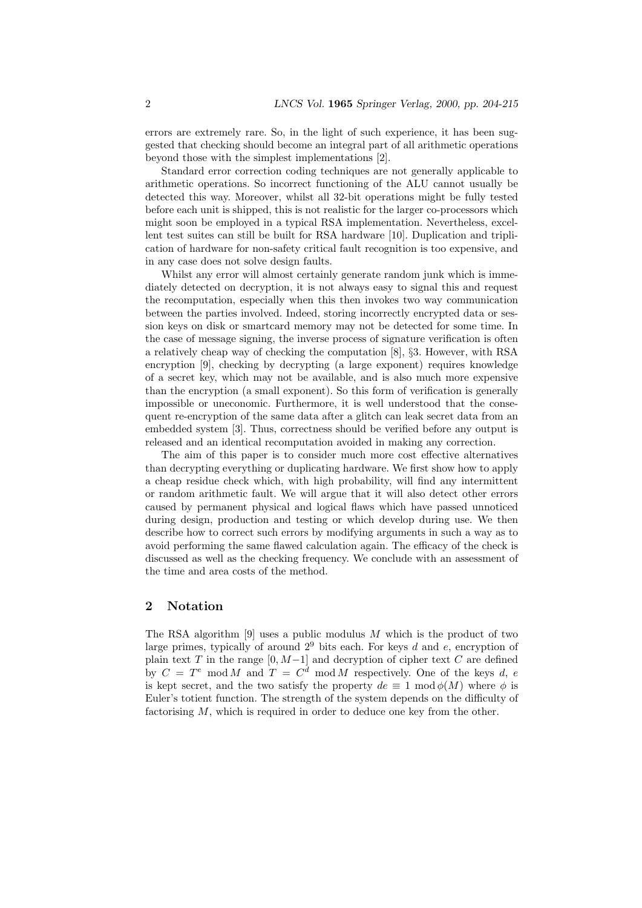errors are extremely rare. So, in the light of such experience, it has been suggested that checking should become an integral part of all arithmetic operations beyond those with the simplest implementations [2].

Standard error correction coding techniques are not generally applicable to arithmetic operations. So incorrect functioning of the ALU cannot usually be detected this way. Moreover, whilst all 32-bit operations might be fully tested before each unit is shipped, this is not realistic for the larger co-processors which might soon be employed in a typical RSA implementation. Nevertheless, excellent test suites can still be built for RSA hardware [10]. Duplication and triplication of hardware for non-safety critical fault recognition is too expensive, and in any case does not solve design faults.

Whilst any error will almost certainly generate random junk which is immediately detected on decryption, it is not always easy to signal this and request the recomputation, especially when this then invokes two way communication between the parties involved. Indeed, storing incorrectly encrypted data or session keys on disk or smartcard memory may not be detected for some time. In the case of message signing, the inverse process of signature verification is often a relatively cheap way of checking the computation [8], §3. However, with RSA encryption [9], checking by decrypting (a large exponent) requires knowledge of a secret key, which may not be available, and is also much more expensive than the encryption (a small exponent). So this form of verification is generally impossible or uneconomic. Furthermore, it is well understood that the consequent re-encryption of the same data after a glitch can leak secret data from an embedded system [3]. Thus, correctness should be verified before any output is released and an identical recomputation avoided in making any correction.

The aim of this paper is to consider much more cost effective alternatives than decrypting everything or duplicating hardware. We first show how to apply a cheap residue check which, with high probability, will find any intermittent or random arithmetic fault. We will argue that it will also detect other errors caused by permanent physical and logical flaws which have passed unnoticed during design, production and testing or which develop during use. We then describe how to correct such errors by modifying arguments in such a way as to avoid performing the same flawed calculation again. The efficacy of the check is discussed as well as the checking frequency. We conclude with an assessment of the time and area costs of the method.

## 2 Notation

The RSA algorithm [9] uses a public modulus  $M$  which is the product of two large primes, typically of around  $2^9$  bits each. For keys d and e, encryption of plain text T in the range  $[0, M-1]$  and decryption of cipher text C are defined by  $C = T^e \mod M$  and  $T = C^d \mod M$  respectively. One of the keys d, e is kept secret, and the two satisfy the property  $de \equiv 1 \mod \phi(M)$  where  $\phi$  is Euler's totient function. The strength of the system depends on the difficulty of factorising  $M$ , which is required in order to deduce one key from the other.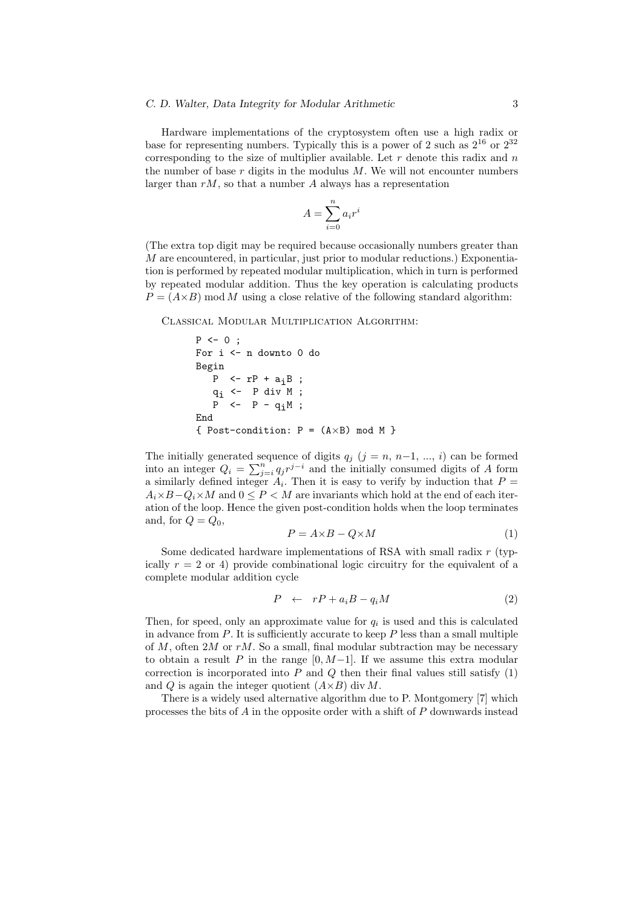Hardware implementations of the cryptosystem often use a high radix or base for representing numbers. Typically this is a power of 2 such as  $2^{16}$  or  $2^{32}$ corresponding to the size of multiplier available. Let  $r$  denote this radix and  $n$ the number of base  $r$  digits in the modulus  $M$ . We will not encounter numbers larger than  $rM$ , so that a number A always has a representation

$$
A = \sum_{i=0}^{n} a_i r^i
$$

(The extra top digit may be required because occasionally numbers greater than M are encountered, in particular, just prior to modular reductions.) Exponentiation is performed by repeated modular multiplication, which in turn is performed by repeated modular addition. Thus the key operation is calculating products  $P = (A \times B)$  mod M using a close relative of the following standard algorithm:

Classical Modular Multiplication Algorithm:

```
P \le -0 :
For i \leftarrow n downto 0 do
Begin
    P <- rP + a<sub>i</sub>B ;
    q_i \leftarrow P div M;
    P \leftarrow P - q_i M;End
{ Post-condition: P = (A \times B) \mod M }
```
The initially generated sequence of digits  $q_j$  (j = n, n-1, ..., i) can be formed into an integer  $Q_i = \sum_{j=i}^n q_j r^{j-i}$  and the initially consumed digits of A form a similarly defined integer  $A_i$ . Then it is easy to verify by induction that  $P =$  $A_i \times B - Q_i \times M$  and  $0 \le P \lt M$  are invariants which hold at the end of each iteration of the loop. Hence the given post-condition holds when the loop terminates and, for  $Q = Q_0$ ,

$$
P = A \times B - Q \times M \tag{1}
$$

Some dedicated hardware implementations of RSA with small radix  $r$  (typically  $r = 2$  or 4) provide combinational logic circuitry for the equivalent of a complete modular addition cycle

$$
P \leftarrow rP + a_iB - q_iM \tag{2}
$$

Then, for speed, only an approximate value for  $q_i$  is used and this is calculated in advance from  $P$ . It is sufficiently accurate to keep  $P$  less than a small multiple of  $M$ , often  $2M$  or  $rM$ . So a small, final modular subtraction may be necessary to obtain a result P in the range  $[0, M-1]$ . If we assume this extra modular correction is incorporated into  $P$  and  $Q$  then their final values still satisfy  $(1)$ and Q is again the integer quotient  $(A\times B)$  div M.

There is a widely used alternative algorithm due to P. Montgomery [7] which processes the bits of A in the opposite order with a shift of P downwards instead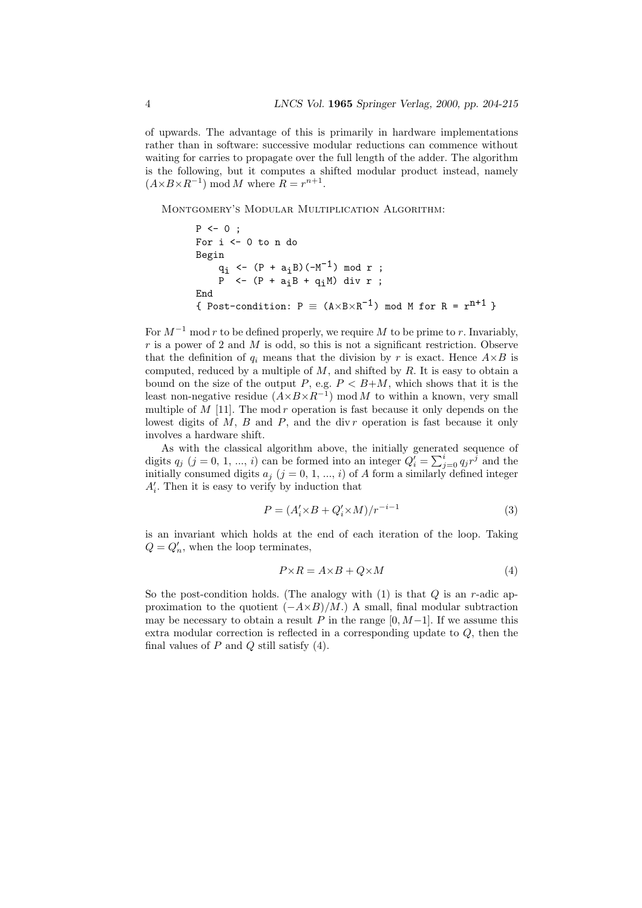of upwards. The advantage of this is primarily in hardware implementations rather than in software: successive modular reductions can commence without waiting for carries to propagate over the full length of the adder. The algorithm is the following, but it computes a shifted modular product instead, namely  $(A \times B \times R^{-1}) \text{ mod } M$  where  $R = r^{n+1}$ .

Montgomery's Modular Multiplication Algorithm:

```
P \leftarrow 0;
For i <- 0 to n do
Begin
     q_i \leftarrow (P + a_i B) (-M^{-1}) \mod r;
     P \leftarrow (P + a_i B + q_i M) div r;
End
{ Post-condition: P = (A \times B \times R^{-1}) mod M for R = r^{n+1} }
```
For  $M^{-1}$  mod r to be defined properly, we require M to be prime to r. Invariably,  $r$  is a power of 2 and  $M$  is odd, so this is not a significant restriction. Observe that the definition of  $q_i$  means that the division by r is exact. Hence  $A \times B$  is computed, reduced by a multiple of  $M$ , and shifted by  $R$ . It is easy to obtain a bound on the size of the output P, e.g.  $P < B+M$ , which shows that it is the least non-negative residue  $(A \times B \times R^{-1})$  mod M to within a known, very small multiple of  $M$  [11]. The mod r operation is fast because it only depends on the lowest digits of  $M$ ,  $B$  and  $P$ , and the div  $r$  operation is fast because it only involves a hardware shift.

As with the classical algorithm above, the initially generated sequence of digits  $q_j$   $(j = 0, 1, ..., i)$  can be formed into an integer  $Q_i^{\tilde{i}} = \sum_{j=0}^{i} q_j r^{\tilde{j}}$  and the initially consumed digits  $a_j$   $(j = 0, 1, ..., i)$  of A form a similarly defined integer  $A_i'$ . Then it is easy to verify by induction that

$$
P = (A_i' \times B + Q_i' \times M)/r^{-i-1}
$$
\n<sup>(3)</sup>

is an invariant which holds at the end of each iteration of the loop. Taking  $Q = Q'_n$ , when the loop terminates,

$$
P \times R = A \times B + Q \times M \tag{4}
$$

So the post-condition holds. (The analogy with  $(1)$  is that  $Q$  is an r-adic approximation to the quotient  $(-A\times B)/M$ .) A small, final modular subtraction may be necessary to obtain a result P in the range  $[0, M-1]$ . If we assume this extra modular correction is reflected in a corresponding update to Q, then the final values of  $P$  and  $Q$  still satisfy  $(4)$ .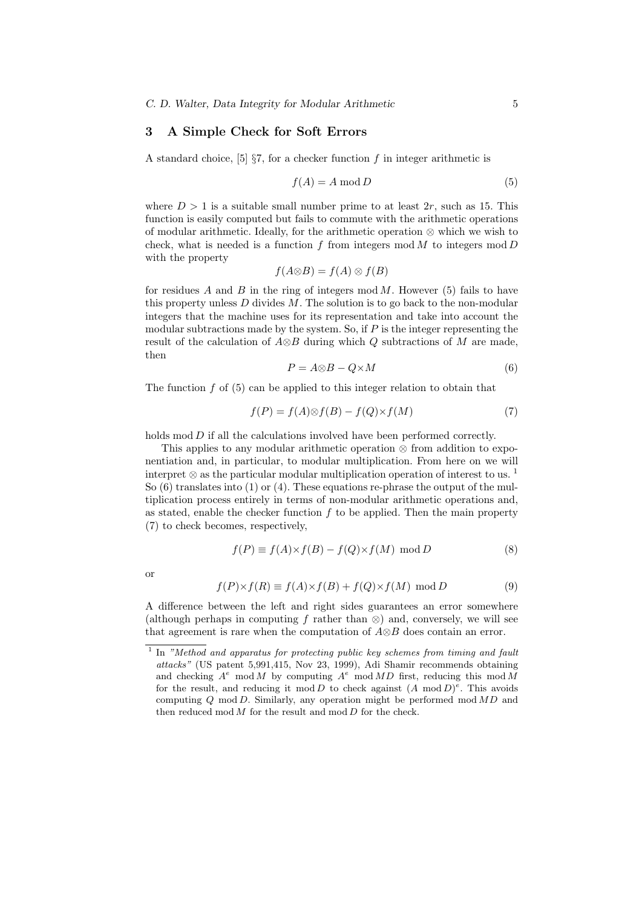## 3 A Simple Check for Soft Errors

A standard choice, [5]  $\S7$ , for a checker function f in integer arithmetic is

$$
f(A) = A \bmod D \tag{5}
$$

where  $D > 1$  is a suitable small number prime to at least  $2r$ , such as 15. This function is easily computed but fails to commute with the arithmetic operations of modular arithmetic. Ideally, for the arithmetic operation  $\otimes$  which we wish to check, what is needed is a function f from integers  $mod M$  to integers  $mod D$ with the property

$$
f(A \otimes B) = f(A) \otimes f(B)
$$

for residues  $A$  and  $B$  in the ring of integers mod  $M$ . However (5) fails to have this property unless  $D$  divides  $M$ . The solution is to go back to the non-modular integers that the machine uses for its representation and take into account the modular subtractions made by the system. So, if  $P$  is the integer representing the result of the calculation of  $A \otimes B$  during which Q subtractions of M are made, then

$$
P = A \otimes B - Q \times M \tag{6}
$$

The function  $f$  of (5) can be applied to this integer relation to obtain that

$$
f(P) = f(A) \otimes f(B) - f(Q) \times f(M) \tag{7}
$$

holds mod D if all the calculations involved have been performed correctly.

This applies to any modular arithmetic operation ⊗ from addition to exponentiation and, in particular, to modular multiplication. From here on we will interpret  $\otimes$  as the particular modular multiplication operation of interest to us. <sup>1</sup> So (6) translates into (1) or (4). These equations re-phrase the output of the multiplication process entirely in terms of non-modular arithmetic operations and, as stated, enable the checker function  $f$  to be applied. Then the main property (7) to check becomes, respectively,

$$
f(P) \equiv f(A) \times f(B) - f(Q) \times f(M) \mod D \tag{8}
$$

or

$$
f(P) \times f(R) \equiv f(A) \times f(B) + f(Q) \times f(M) \mod D \tag{9}
$$

A difference between the left and right sides guarantees an error somewhere (although perhaps in computing f rather than  $\otimes$ ) and, conversely, we will see that agreement is rare when the computation of  $A \otimes B$  does contain an error.

 $<sup>1</sup>$  In "Method and apparatus for protecting public key schemes from timing and fault</sup> attacks" (US patent 5,991,415, Nov 23, 1999), Adi Shamir recommends obtaining and checking  $A^e \mod M$  by computing  $A^e \mod MD$  first, reducing this mod M for the result, and reducing it mod D to check against  $(A \mod D)^e$ . This avoids computing  $Q \mod D$ . Similarly, any operation might be performed mod  $MD$  and then reduced mod  $M$  for the result and mod  $D$  for the check.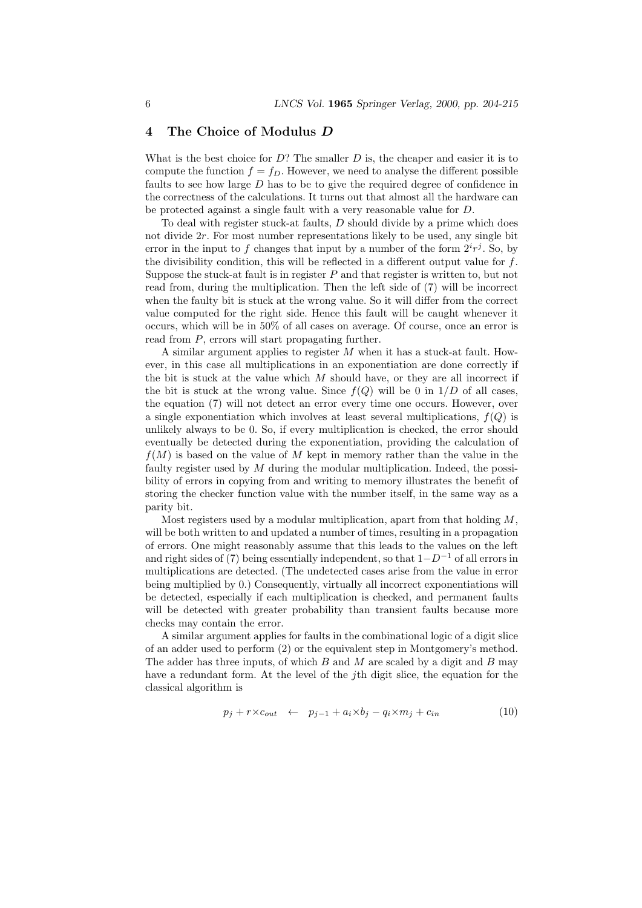## 4 The Choice of Modulus D

What is the best choice for  $D$ ? The smaller  $D$  is, the cheaper and easier it is to compute the function  $f = f_D$ . However, we need to analyse the different possible faults to see how large  $D$  has to be to give the required degree of confidence in the correctness of the calculations. It turns out that almost all the hardware can be protected against a single fault with a very reasonable value for D.

To deal with register stuck-at faults, D should divide by a prime which does not divide 2r. For most number representations likely to be used, any single bit error in the input to f changes that input by a number of the form  $2^{i}r^{j}$ . So, by the divisibility condition, this will be reflected in a different output value for  $f$ . Suppose the stuck-at fault is in register  $P$  and that register is written to, but not read from, during the multiplication. Then the left side of (7) will be incorrect when the faulty bit is stuck at the wrong value. So it will differ from the correct value computed for the right side. Hence this fault will be caught whenever it occurs, which will be in 50% of all cases on average. Of course, once an error is read from P, errors will start propagating further.

A similar argument applies to register M when it has a stuck-at fault. However, in this case all multiplications in an exponentiation are done correctly if the bit is stuck at the value which  $M$  should have, or they are all incorrect if the bit is stuck at the wrong value. Since  $f(Q)$  will be 0 in  $1/D$  of all cases, the equation (7) will not detect an error every time one occurs. However, over a single exponentiation which involves at least several multiplications,  $f(Q)$  is unlikely always to be 0. So, if every multiplication is checked, the error should eventually be detected during the exponentiation, providing the calculation of  $f(M)$  is based on the value of M kept in memory rather than the value in the faulty register used by  $M$  during the modular multiplication. Indeed, the possibility of errors in copying from and writing to memory illustrates the benefit of storing the checker function value with the number itself, in the same way as a parity bit.

Most registers used by a modular multiplication, apart from that holding  $M$ , will be both written to and updated a number of times, resulting in a propagation of errors. One might reasonably assume that this leads to the values on the left and right sides of (7) being essentially independent, so that  $1-D^{-1}$  of all errors in multiplications are detected. (The undetected cases arise from the value in error being multiplied by 0.) Consequently, virtually all incorrect exponentiations will be detected, especially if each multiplication is checked, and permanent faults will be detected with greater probability than transient faults because more checks may contain the error.

A similar argument applies for faults in the combinational logic of a digit slice of an adder used to perform (2) or the equivalent step in Montgomery's method. The adder has three inputs, of which  $B$  and  $M$  are scaled by a digit and  $B$  may have a redundant form. At the level of the *j*th digit slice, the equation for the classical algorithm is

$$
p_j + r \times c_{out} \leftarrow p_{j-1} + a_i \times b_j - q_i \times m_j + c_{in} \tag{10}
$$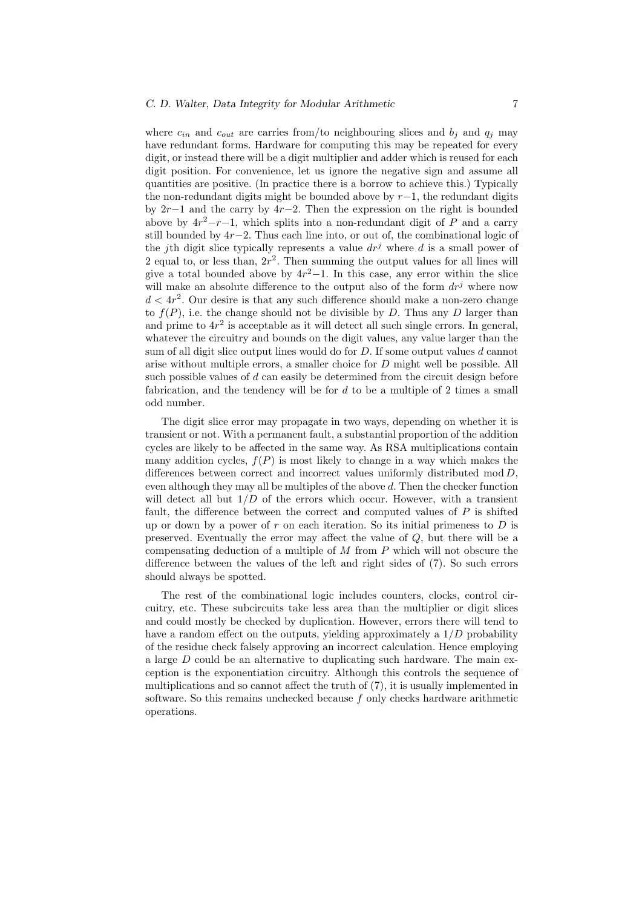where  $c_{in}$  and  $c_{out}$  are carries from/to neighbouring slices and  $b_j$  and  $q_j$  may have redundant forms. Hardware for computing this may be repeated for every digit, or instead there will be a digit multiplier and adder which is reused for each digit position. For convenience, let us ignore the negative sign and assume all quantities are positive. (In practice there is a borrow to achieve this.) Typically the non-redundant digits might be bounded above by  $r-1$ , the redundant digits by  $2r-1$  and the carry by  $4r-2$ . Then the expression on the right is bounded above by  $4r^2-r-1$ , which splits into a non-redundant digit of P and a carry still bounded by  $4r-2$ . Thus each line into, or out of, the combinational logic of the *j*th digit slice typically represents a value  $dr<sup>j</sup>$  where d is a small power of 2 equal to, or less than,  $2r^2$ . Then summing the output values for all lines will give a total bounded above by  $4r^2-1$ . In this case, any error within the slice will make an absolute difference to the output also of the form  $dr<sup>j</sup>$  where now  $d < 4r^2$ . Our desire is that any such difference should make a non-zero change to  $f(P)$ , i.e. the change should not be divisible by D. Thus any D larger than and prime to  $4r^2$  is acceptable as it will detect all such single errors. In general, whatever the circuitry and bounds on the digit values, any value larger than the sum of all digit slice output lines would do for  $D$ . If some output values  $d$  cannot arise without multiple errors, a smaller choice for D might well be possible. All such possible values of d can easily be determined from the circuit design before fabrication, and the tendency will be for  $d$  to be a multiple of 2 times a small odd number.

The digit slice error may propagate in two ways, depending on whether it is transient or not. With a permanent fault, a substantial proportion of the addition cycles are likely to be affected in the same way. As RSA multiplications contain many addition cycles,  $f(P)$  is most likely to change in a way which makes the differences between correct and incorrect values uniformly distributed mod D, even although they may all be multiples of the above d. Then the checker function will detect all but  $1/D$  of the errors which occur. However, with a transient fault, the difference between the correct and computed values of  $P$  is shifted up or down by a power of  $r$  on each iteration. So its initial primeness to  $D$  is preserved. Eventually the error may affect the value of Q, but there will be a compensating deduction of a multiple of M from P which will not obscure the difference between the values of the left and right sides of (7). So such errors should always be spotted.

The rest of the combinational logic includes counters, clocks, control circuitry, etc. These subcircuits take less area than the multiplier or digit slices and could mostly be checked by duplication. However, errors there will tend to have a random effect on the outputs, yielding approximately a  $1/D$  probability of the residue check falsely approving an incorrect calculation. Hence employing a large  $D$  could be an alternative to duplicating such hardware. The main exception is the exponentiation circuitry. Although this controls the sequence of multiplications and so cannot affect the truth of (7), it is usually implemented in software. So this remains unchecked because f only checks hardware arithmetic operations.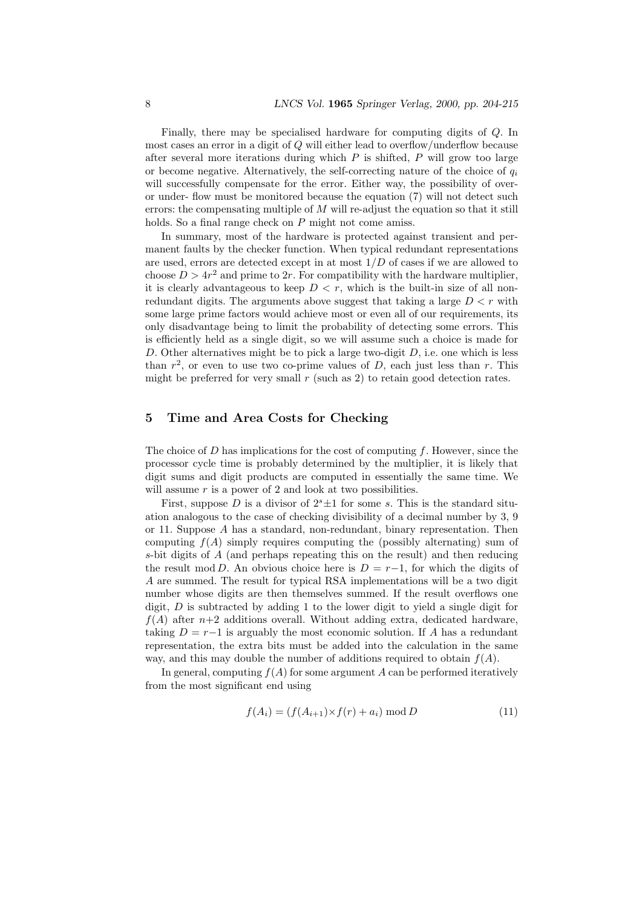Finally, there may be specialised hardware for computing digits of Q. In most cases an error in a digit of Q will either lead to overflow/underflow because after several more iterations during which  $P$  is shifted,  $P$  will grow too large or become negative. Alternatively, the self-correcting nature of the choice of  $q_i$ will successfully compensate for the error. Either way, the possibility of overor under- flow must be monitored because the equation (7) will not detect such errors: the compensating multiple of  $M$  will re-adjust the equation so that it still holds. So a final range check on P might not come amiss.

In summary, most of the hardware is protected against transient and permanent faults by the checker function. When typical redundant representations are used, errors are detected except in at most  $1/D$  of cases if we are allowed to choose  $D > 4r^2$  and prime to 2r. For compatibility with the hardware multiplier, it is clearly advantageous to keep  $D < r$ , which is the built-in size of all nonredundant digits. The arguments above suggest that taking a large  $D < r$  with some large prime factors would achieve most or even all of our requirements, its only disadvantage being to limit the probability of detecting some errors. This is efficiently held as a single digit, so we will assume such a choice is made for D. Other alternatives might be to pick a large two-digit  $D$ , i.e. one which is less than  $r^2$ , or even to use two co-prime values of D, each just less than r. This might be preferred for very small  $r$  (such as 2) to retain good detection rates.

## 5 Time and Area Costs for Checking

The choice of D has implications for the cost of computing  $f$ . However, since the processor cycle time is probably determined by the multiplier, it is likely that digit sums and digit products are computed in essentially the same time. We will assume  $r$  is a power of 2 and look at two possibilities.

First, suppose D is a divisor of  $2<sup>s</sup>\pm 1$  for some s. This is the standard situation analogous to the case of checking divisibility of a decimal number by 3, 9 or 11. Suppose A has a standard, non-redundant, binary representation. Then computing  $f(A)$  simply requires computing the (possibly alternating) sum of s-bit digits of A (and perhaps repeating this on the result) and then reducing the result mod D. An obvious choice here is  $D = r-1$ , for which the digits of A are summed. The result for typical RSA implementations will be a two digit number whose digits are then themselves summed. If the result overflows one digit,  $D$  is subtracted by adding 1 to the lower digit to yield a single digit for  $f(A)$  after  $n+2$  additions overall. Without adding extra, dedicated hardware, taking  $D = r-1$  is arguably the most economic solution. If A has a redundant representation, the extra bits must be added into the calculation in the same way, and this may double the number of additions required to obtain  $f(A)$ .

In general, computing  $f(A)$  for some argument A can be performed iteratively from the most significant end using

$$
f(A_i) = (f(A_{i+1}) \times f(r) + a_i) \bmod D \tag{11}
$$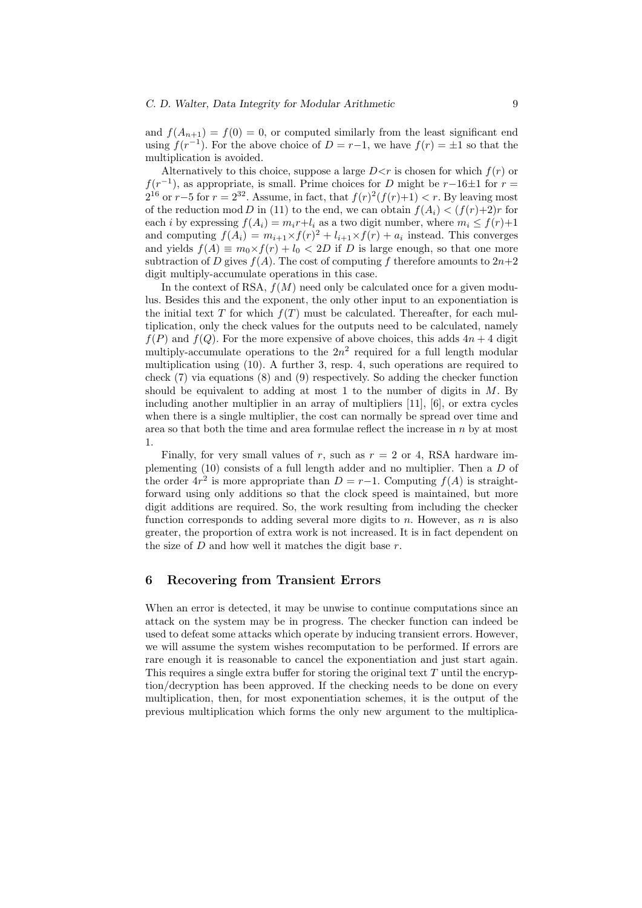and  $f(A_{n+1}) = f(0) = 0$ , or computed similarly from the least significant end using  $f(r^{-1})$ . For the above choice of  $D = r-1$ , we have  $f(r) = \pm 1$  so that the multiplication is avoided.

Alternatively to this choice, suppose a large  $D \le r$  is chosen for which  $f(r)$  or  $f(r^{-1})$ , as appropriate, is small. Prime choices for D might be r-16±1 for r =  $2^{16}$  or  $r-5$  for  $r = 2^{32}$ . Assume, in fact, that  $f(r)^2(f(r)+1) < r$ . By leaving most of the reduction mod D in (11) to the end, we can obtain  $f(A_i) < (f(r)+2)r$  for each i by expressing  $f(A_i) = m_i r + l_i$  as a two digit number, where  $m_i \leq f(r)+1$ and computing  $f(A_i) = m_{i+1} \times f(r)^2 + l_{i+1} \times f(r) + a_i$  instead. This converges and yields  $f(A) \equiv m_0 \times f(r) + l_0 < 2D$  if D is large enough, so that one more subtraction of D gives  $f(A)$ . The cost of computing f therefore amounts to  $2n+2$ digit multiply-accumulate operations in this case.

In the context of RSA,  $f(M)$  need only be calculated once for a given modulus. Besides this and the exponent, the only other input to an exponentiation is the initial text T for which  $f(T)$  must be calculated. Thereafter, for each multiplication, only the check values for the outputs need to be calculated, namely  $f(P)$  and  $f(Q)$ . For the more expensive of above choices, this adds  $4n + 4$  digit multiply-accumulate operations to the  $2n^2$  required for a full length modular multiplication using (10). A further 3, resp. 4, such operations are required to check (7) via equations (8) and (9) respectively. So adding the checker function should be equivalent to adding at most 1 to the number of digits in  $M$ . By including another multiplier in an array of multipliers [11], [6], or extra cycles when there is a single multiplier, the cost can normally be spread over time and area so that both the time and area formulae reflect the increase in  $n$  by at most 1.

Finally, for very small values of r, such as  $r = 2$  or 4, RSA hardware implementing  $(10)$  consists of a full length adder and no multiplier. Then a D of the order  $4r^2$  is more appropriate than  $D = r-1$ . Computing  $f(A)$  is straightforward using only additions so that the clock speed is maintained, but more digit additions are required. So, the work resulting from including the checker function corresponds to adding several more digits to  $n$ . However, as  $n$  is also greater, the proportion of extra work is not increased. It is in fact dependent on the size of  $D$  and how well it matches the digit base  $r$ .

#### 6 Recovering from Transient Errors

When an error is detected, it may be unwise to continue computations since an attack on the system may be in progress. The checker function can indeed be used to defeat some attacks which operate by inducing transient errors. However, we will assume the system wishes recomputation to be performed. If errors are rare enough it is reasonable to cancel the exponentiation and just start again. This requires a single extra buffer for storing the original text  $T$  until the encryption/decryption has been approved. If the checking needs to be done on every multiplication, then, for most exponentiation schemes, it is the output of the previous multiplication which forms the only new argument to the multiplica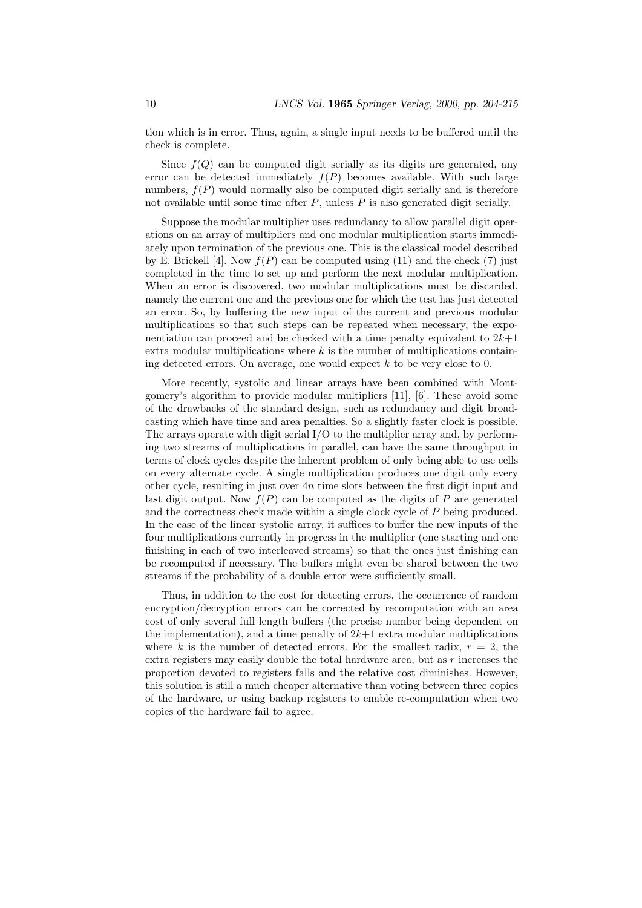tion which is in error. Thus, again, a single input needs to be buffered until the check is complete.

Since  $f(Q)$  can be computed digit serially as its digits are generated, any error can be detected immediately  $f(P)$  becomes available. With such large numbers,  $f(P)$  would normally also be computed digit serially and is therefore not available until some time after  $P$ , unless  $P$  is also generated digit serially.

Suppose the modular multiplier uses redundancy to allow parallel digit operations on an array of multipliers and one modular multiplication starts immediately upon termination of the previous one. This is the classical model described by E. Brickell [4]. Now  $f(P)$  can be computed using (11) and the check (7) just completed in the time to set up and perform the next modular multiplication. When an error is discovered, two modular multiplications must be discarded, namely the current one and the previous one for which the test has just detected an error. So, by buffering the new input of the current and previous modular multiplications so that such steps can be repeated when necessary, the exponentiation can proceed and be checked with a time penalty equivalent to  $2k+1$ extra modular multiplications where  $k$  is the number of multiplications containing detected errors. On average, one would expect  $k$  to be very close to 0.

More recently, systolic and linear arrays have been combined with Montgomery's algorithm to provide modular multipliers [11], [6]. These avoid some of the drawbacks of the standard design, such as redundancy and digit broadcasting which have time and area penalties. So a slightly faster clock is possible. The arrays operate with digit serial I/O to the multiplier array and, by performing two streams of multiplications in parallel, can have the same throughput in terms of clock cycles despite the inherent problem of only being able to use cells on every alternate cycle. A single multiplication produces one digit only every other cycle, resulting in just over  $4n$  time slots between the first digit input and last digit output. Now  $f(P)$  can be computed as the digits of P are generated and the correctness check made within a single clock cycle of P being produced. In the case of the linear systolic array, it suffices to buffer the new inputs of the four multiplications currently in progress in the multiplier (one starting and one finishing in each of two interleaved streams) so that the ones just finishing can be recomputed if necessary. The buffers might even be shared between the two streams if the probability of a double error were sufficiently small.

Thus, in addition to the cost for detecting errors, the occurrence of random encryption/decryption errors can be corrected by recomputation with an area cost of only several full length buffers (the precise number being dependent on the implementation), and a time penalty of  $2k+1$  extra modular multiplications where k is the number of detected errors. For the smallest radix,  $r = 2$ , the extra registers may easily double the total hardware area, but as  $r$  increases the proportion devoted to registers falls and the relative cost diminishes. However, this solution is still a much cheaper alternative than voting between three copies of the hardware, or using backup registers to enable re-computation when two copies of the hardware fail to agree.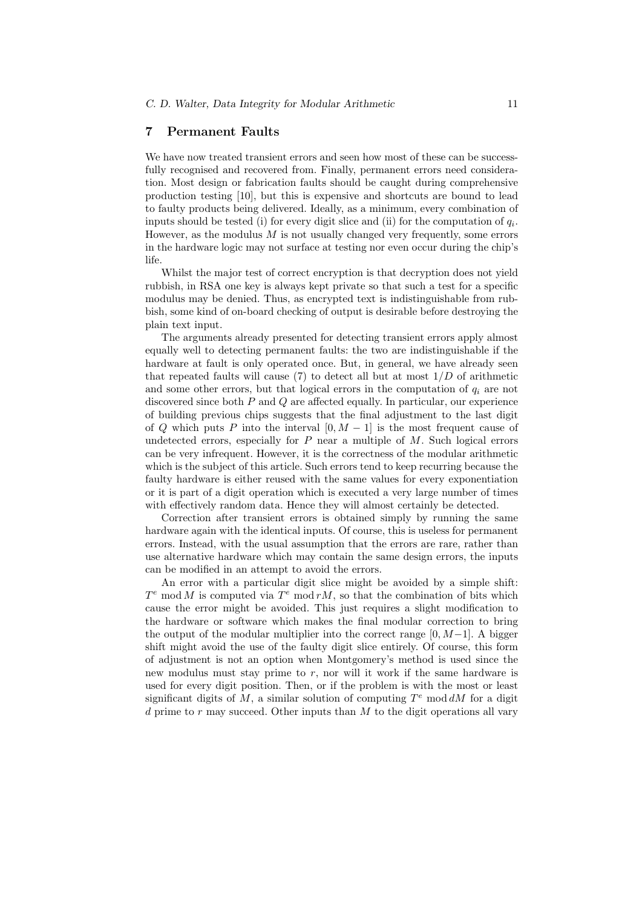#### 7 Permanent Faults

We have now treated transient errors and seen how most of these can be successfully recognised and recovered from. Finally, permanent errors need consideration. Most design or fabrication faults should be caught during comprehensive production testing [10], but this is expensive and shortcuts are bound to lead to faulty products being delivered. Ideally, as a minimum, every combination of inputs should be tested (i) for every digit slice and (ii) for the computation of  $q_i$ . However, as the modulus  $M$  is not usually changed very frequently, some errors in the hardware logic may not surface at testing nor even occur during the chip's life.

Whilst the major test of correct encryption is that decryption does not yield rubbish, in RSA one key is always kept private so that such a test for a specific modulus may be denied. Thus, as encrypted text is indistinguishable from rubbish, some kind of on-board checking of output is desirable before destroying the plain text input.

The arguments already presented for detecting transient errors apply almost equally well to detecting permanent faults: the two are indistinguishable if the hardware at fault is only operated once. But, in general, we have already seen that repeated faults will cause  $(7)$  to detect all but at most  $1/D$  of arithmetic and some other errors, but that logical errors in the computation of  $q_i$  are not discovered since both  $P$  and  $Q$  are affected equally. In particular, our experience of building previous chips suggests that the final adjustment to the last digit of Q which puts P into the interval  $[0, M - 1]$  is the most frequent cause of undetected errors, especially for  $P$  near a multiple of  $M$ . Such logical errors can be very infrequent. However, it is the correctness of the modular arithmetic which is the subject of this article. Such errors tend to keep recurring because the faulty hardware is either reused with the same values for every exponentiation or it is part of a digit operation which is executed a very large number of times with effectively random data. Hence they will almost certainly be detected.

Correction after transient errors is obtained simply by running the same hardware again with the identical inputs. Of course, this is useless for permanent errors. Instead, with the usual assumption that the errors are rare, rather than use alternative hardware which may contain the same design errors, the inputs can be modified in an attempt to avoid the errors.

An error with a particular digit slice might be avoided by a simple shift:  $T^e \mod M$  is computed via  $T^e \mod rM$ , so that the combination of bits which cause the error might be avoided. This just requires a slight modification to the hardware or software which makes the final modular correction to bring the output of the modular multiplier into the correct range  $[0, M-1]$ . A bigger shift might avoid the use of the faulty digit slice entirely. Of course, this form of adjustment is not an option when Montgomery's method is used since the new modulus must stay prime to  $r$ , nor will it work if the same hardware is used for every digit position. Then, or if the problem is with the most or least significant digits of  $M$ , a similar solution of computing  $T<sup>e</sup>$  mod dM for a digit d prime to  $r$  may succeed. Other inputs than  $M$  to the digit operations all vary